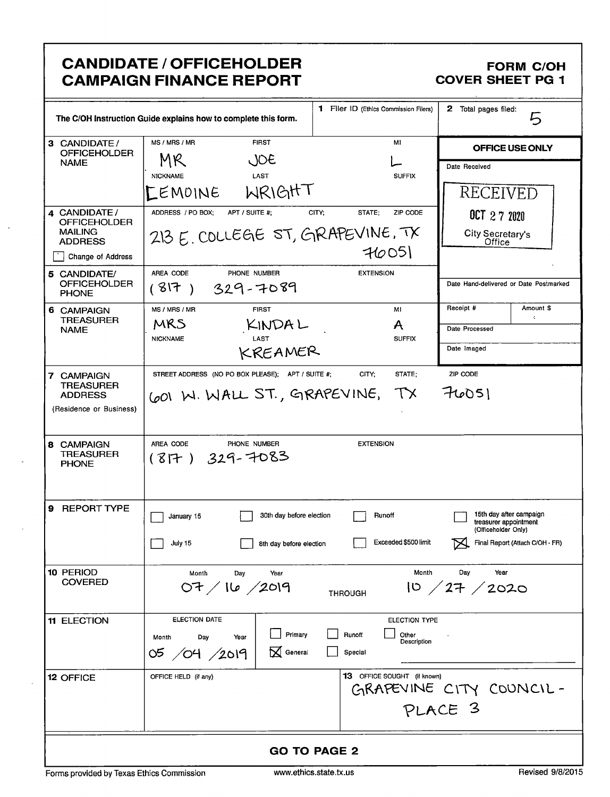| <b>CANDIDATE / OFFICEHOLDER</b><br><b>FORM C/OH</b><br><b>CAMPAIGN FINANCE REPORT</b><br><b>COVER SHEET PG 1</b> |                                                                   |                                              |                                                                         |  |  |
|------------------------------------------------------------------------------------------------------------------|-------------------------------------------------------------------|----------------------------------------------|-------------------------------------------------------------------------|--|--|
|                                                                                                                  | The C/OH Instruction Guide explains how to complete this form.    | <b>1</b> Filer ID (Ethics Commission Filers) | 2 Total pages filed:<br>5                                               |  |  |
| 3 CANDIDATE /<br><b>OFFICEHOLDER</b>                                                                             | MS / MRS / MR<br><b>FIRST</b>                                     | M1                                           | OFFICE USE ONLY                                                         |  |  |
| <b>NAME</b>                                                                                                      | MR<br>JOE                                                         |                                              | Date Received                                                           |  |  |
|                                                                                                                  | <b>LAST</b><br><b>NICKNAME</b><br>WRIGHT<br><b>LEMOINE</b>        | <b>SUFFIX</b>                                | RECEIVED                                                                |  |  |
| 4 CANDIDATE /                                                                                                    | ADDRESS / PO BOX:<br>APT / SUITE #;                               | CITY;<br>STATE;<br>ZIP CODE                  | 0C1272020                                                               |  |  |
| <b>OFFICEHOLDER</b><br><b>MAILING</b>                                                                            | 213 E. COLLEGE ST, GRAPEVINE, TX                                  |                                              | City Secretary's                                                        |  |  |
| <b>ADDRESS</b><br>Change of Address                                                                              |                                                                   | 76051                                        | Office                                                                  |  |  |
| 5 CANDIDATE/<br><b>OFFICEHOLDER</b>                                                                              | AREA CODE<br>PHONE NUMBER<br>329-7089<br>(317)                    | <b>EXTENSION</b>                             | Date Hand-delivered or Date Postmarked                                  |  |  |
| <b>PHONE</b><br>6 CAMPAIGN                                                                                       | MS / MRS / MR<br><b>FIRST</b>                                     | MI                                           | Amount \$<br>Receipt #                                                  |  |  |
| TREASURER<br><b>NAME</b>                                                                                         | MRS<br>KINDAL                                                     | A                                            | $\epsilon$<br>Date Processed                                            |  |  |
|                                                                                                                  | <b>NICKNAME</b><br>LAST<br>KREAMER                                | <b>SUFFIX</b>                                | Date Imaged                                                             |  |  |
| 7 CAMPAIGN                                                                                                       | STREET ADDRESS (NO PO BOX PLEASE); APT / SUITE #;                 | CITY;<br>STATE:                              | ZIP CODE                                                                |  |  |
| <b>TREASURER</b><br><b>ADDRESS</b>                                                                               | COO W. WALL ST., GRAPEVINE, TX                                    |                                              | 76051                                                                   |  |  |
| (Residence or Business)                                                                                          |                                                                   |                                              |                                                                         |  |  |
| 8 CAMPAIGN<br><b>TREASURER</b><br><b>PHONE</b>                                                                   | AREA CODE<br>PHONE NUMBER<br><b>EXTENSION</b><br>$(817)$ 329-7083 |                                              |                                                                         |  |  |
| <b>REPORT TYPE</b><br>9                                                                                          | 30th day before election<br>January 15                            | Runoff                                       | 15th day after campaign<br>treasurer appointment<br>(Officeholder Only) |  |  |
|                                                                                                                  | July 15<br>8th day before election                                | Exceeded \$500 limit                         | Final Report (Attach C/OH - FR)<br>M                                    |  |  |
| 10 PERIOD<br><b>COVERED</b>                                                                                      | Month<br>Day<br>Year<br>07/16/2019                                | Month<br><b>THROUGH</b>                      | Year<br>Day<br>10 / 27 / 2020                                           |  |  |
| <b>11 ELECTION</b>                                                                                               | <b>ELECTION DATE</b>                                              | <b>ELECTION TYPE</b>                         |                                                                         |  |  |
|                                                                                                                  | Primary<br>Day<br>Month<br>Year<br>05 /04 /2019<br>ᢂ<br>General   | Runoff<br>Other<br>Description<br>Special    |                                                                         |  |  |
| 12 OFFICE                                                                                                        | OFFICE HELD (if any)                                              | 13 OFFICE SOUGHT (if known)                  |                                                                         |  |  |
|                                                                                                                  |                                                                   |                                              | GRAPEVINE CITY COUNCIL-                                                 |  |  |
|                                                                                                                  |                                                                   |                                              | PLACE 3                                                                 |  |  |
| <b>GO TO PAGE 2</b>                                                                                              |                                                                   |                                              |                                                                         |  |  |
| Forms provided by Texas Ethics Commission                                                                        |                                                                   | www.ethics.state.tx.us                       | Revised 9/8/2015                                                        |  |  |

 $\ddot{\phantom{a}}$ 

 $\mathcal{L}$ 

÷.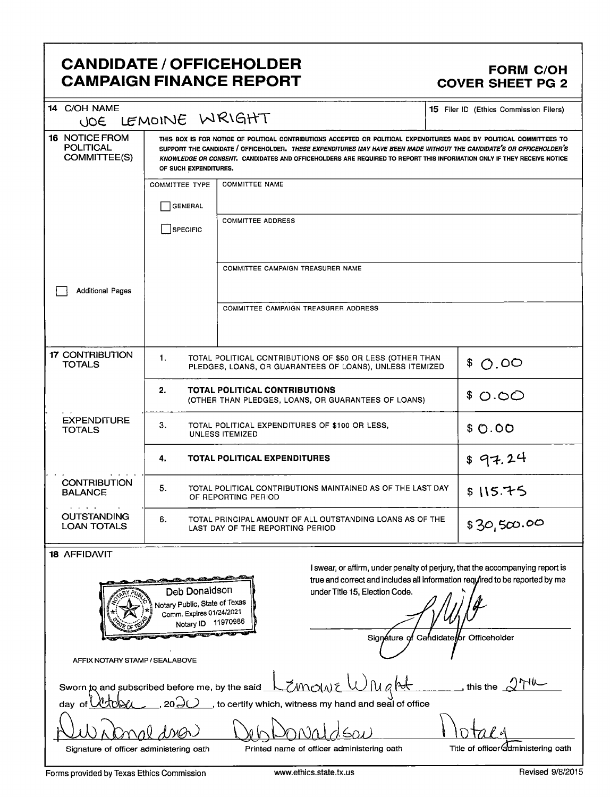### CANDIDATE / OFFICEHOLDER<br>CAMPAIGN FINANCE REPORT COVER SHEET PG 2 **CAMPAIGN FINANCE REPORT**

| 14 C/OH NAME<br>JOE                                                                                                                                                                                                                                                                                                                                                                                                                                                                                                                                                                        | LEMOINE WRIGHT                                                                                                              |                                                                                               | <b>15</b> Filer ID (Ethics Commission Filers) |  |
|--------------------------------------------------------------------------------------------------------------------------------------------------------------------------------------------------------------------------------------------------------------------------------------------------------------------------------------------------------------------------------------------------------------------------------------------------------------------------------------------------------------------------------------------------------------------------------------------|-----------------------------------------------------------------------------------------------------------------------------|-----------------------------------------------------------------------------------------------|-----------------------------------------------|--|
| <b>16 NOTICE FROM</b><br>THIS BOX IS FOR NOTICE OF POLITICAL CONTRIBUTIONS ACCEPTED OR POLITICAL EXPENDITURES MADE BY POLITICAL COMMITTEES TO<br><b>POLITICAL</b><br>SUPPORT THE CANDIDATE / OFFICEHOLDER. THESE EXPENDITURES MAY HAVE BEEN MADE WITHOUT THE CANDIDATE'S OR OFFICEHOLDER'S<br>COMMITTEE(S)<br>KNOWLEDGE OR CONSENT. CANDIDATES AND OFFICEHOLDERS ARE REQUIRED TO REPORT THIS INFORMATION ONLY IF THEY RECEIVE NOTICE<br>OF SUCH EXPENDITURES.                                                                                                                              |                                                                                                                             |                                                                                               |                                               |  |
|                                                                                                                                                                                                                                                                                                                                                                                                                                                                                                                                                                                            | <b>COMMITTEE TYPE</b><br><b>GENERAL</b>                                                                                     |                                                                                               |                                               |  |
|                                                                                                                                                                                                                                                                                                                                                                                                                                                                                                                                                                                            | <b>SPECIFIC</b>                                                                                                             | <b>COMMITTEE ADDRESS</b>                                                                      |                                               |  |
| <b>Additional Pages</b>                                                                                                                                                                                                                                                                                                                                                                                                                                                                                                                                                                    |                                                                                                                             | COMMITTEE CAMPAIGN TREASURER NAME                                                             |                                               |  |
|                                                                                                                                                                                                                                                                                                                                                                                                                                                                                                                                                                                            |                                                                                                                             | COMMITTEE CAMPAIGN TREASURER ADDRESS                                                          |                                               |  |
| <b>17 CONTRIBUTION</b><br><b>TOTALS</b>                                                                                                                                                                                                                                                                                                                                                                                                                                                                                                                                                    | 1.<br>TOTAL POLITICAL CONTRIBUTIONS OF \$50 OR LESS (OTHER THAN<br>PLEDGES, LOANS, OR GUARANTEES OF LOANS), UNLESS ITEMIZED |                                                                                               | \$0.00                                        |  |
|                                                                                                                                                                                                                                                                                                                                                                                                                                                                                                                                                                                            | 2.<br><b>TOTAL POLITICAL CONTRIBUTIONS</b><br>(OTHER THAN PLEDGES, LOANS, OR GUARANTEES OF LOANS)                           | \$0.00                                                                                        |                                               |  |
| <b>EXPENDITURE</b><br><b>TOTALS</b>                                                                                                                                                                                                                                                                                                                                                                                                                                                                                                                                                        | 3.<br>TOTAL POLITICAL EXPENDITURES OF \$100 OR LESS,<br><b>UNLESS ITEMIZED</b>                                              | \$0.00                                                                                        |                                               |  |
|                                                                                                                                                                                                                                                                                                                                                                                                                                                                                                                                                                                            | \$97.24                                                                                                                     |                                                                                               |                                               |  |
| <b>CONTRIBUTION</b><br><b>BALANCE</b><br>$\mathbf{r} = \mathbf{r} + \mathbf{r} + \mathbf{r}$                                                                                                                                                                                                                                                                                                                                                                                                                                                                                               | 5.<br>TOTAL POLITICAL CONTRIBUTIONS MAINTAINED AS OF THE LAST DAY<br>OF REPORTING PERIOD                                    | \$115.75                                                                                      |                                               |  |
| <b>OUTSTANDING</b><br><b>LOAN TOTALS</b>                                                                                                                                                                                                                                                                                                                                                                                                                                                                                                                                                   | 6.                                                                                                                          | TOTAL PRINCIPAL AMOUNT OF ALL OUTSTANDING LOANS AS OF THE<br>LAST DAY OF THE REPORTING PERIOD | \$30,500.00                                   |  |
| <b>18 AFFIDAVIT</b>                                                                                                                                                                                                                                                                                                                                                                                                                                                                                                                                                                        |                                                                                                                             |                                                                                               |                                               |  |
| I swear, or affirm, under penalty of perjury, that the accompanying report is<br><u> 1990 - Paul Barbara (Barbara (Barbara (Barbara (Barbara (Barbara (Barbara (Barbara (Barbara (Barbara (Barbara (Barbara (Barbara (Barbara (Barbara (Barbara (Barbara) (Barbara (Barbara) (Barbara (Barbara) (Barbara) (Barbar</u><br>true and correct and includes all information required to be reported by me<br>Deb Donaldson<br>under Title 15, Election Code.<br>Notary Public, State of Texas<br>Comm. Expires 01/24/2021<br>Notary ID 11970986<br>br Officeholder<br>Signáture ol<br>Candidate |                                                                                                                             |                                                                                               |                                               |  |
| AFFIX NOTARY STAMP / SEALABOVE                                                                                                                                                                                                                                                                                                                                                                                                                                                                                                                                                             |                                                                                                                             |                                                                                               |                                               |  |
| Sworn to and subscribed before me, by the said<br>dav of                                                                                                                                                                                                                                                                                                                                                                                                                                                                                                                                   |                                                                                                                             | <i>ZM</i> ola<br>to certify which, witness my hand and seal of office                         | this the $\alpha$                             |  |
| Title of officer administering oath<br>Printed name of officer administering oath<br>Signature of officer administering oath                                                                                                                                                                                                                                                                                                                                                                                                                                                               |                                                                                                                             |                                                                                               |                                               |  |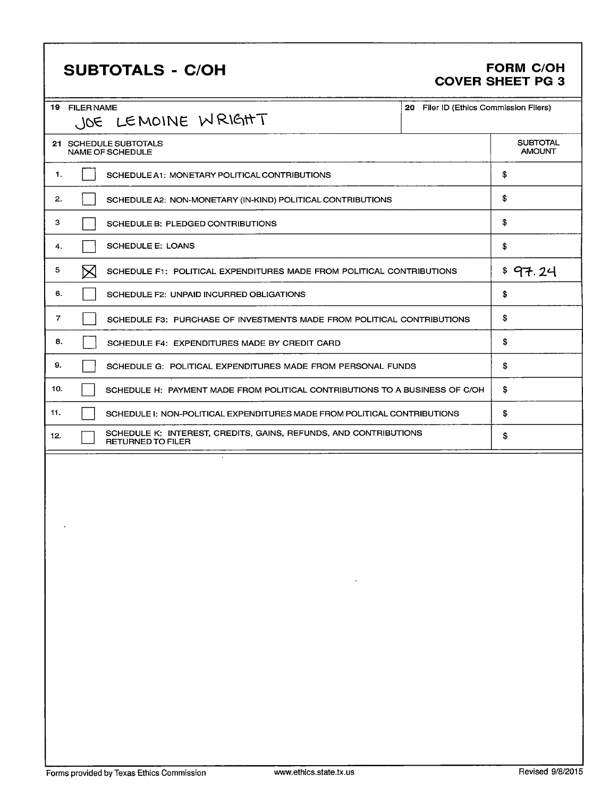# SUBTOTALS - C/OH FORM C/OH

# COVER SHEET PG 3

|     | 19 FILER NAME     | JOE LEMOINE WRIGHT                                                                           | 20 Filer ID (Ethics Commission Filers)                                   |                                  |  |
|-----|-------------------|----------------------------------------------------------------------------------------------|--------------------------------------------------------------------------|----------------------------------|--|
|     |                   | 21 SCHEDULE SUBTOTALS<br>NAME OF SCHEDULE                                                    |                                                                          | <b>SUBTOTAL</b><br><b>AMOUNT</b> |  |
| 1.  |                   | SCHEDULE A1: MONETARY POLITICAL CONTRIBUTIONS                                                |                                                                          | \$                               |  |
| 2.  |                   | SCHEDULE A2: NON-MONETARY (IN-KIND) POLITICAL CONTRIBUTIONS                                  |                                                                          | \$                               |  |
| з   |                   | SCHEDULE B: PLEDGED CONTRIBUTIONS                                                            |                                                                          | \$                               |  |
| 4.  |                   | <b>SCHEDULE E: LOANS</b>                                                                     |                                                                          | \$                               |  |
| 5   | $\bm{\mathsf{X}}$ | SCHEDULE F1: POLITICAL EXPENDITURES MADE FROM POLITICAL CONTRIBUTIONS                        |                                                                          | \$97.24                          |  |
| 6.  |                   | SCHEDULE F2: UNPAID INCURRED OBLIGATIONS                                                     |                                                                          | \$                               |  |
| 7   |                   | SCHEDULE F3: PURCHASE OF INVESTMENTS MADE FROM POLITICAL CONTRIBUTIONS                       |                                                                          | \$                               |  |
| 8.  |                   | SCHEDULE F4: EXPENDITURES MADE BY CREDIT CARD                                                |                                                                          | \$                               |  |
| 9.  |                   | SCHEDULE G: POLITICAL EXPENDITURES MADE FROM PERSONAL FUNDS                                  | \$                                                                       |                                  |  |
| 10. |                   | SCHEDULE H: PAYMENT MADE FROM POLITICAL CONTRIBUTIONS TO A BUSINESS OF C/OH                  | \$                                                                       |                                  |  |
| 11. |                   |                                                                                              | SCHEDULE I: NON-POLITICAL EXPENDITURES MADE FROM POLITICAL CONTRIBUTIONS |                                  |  |
| 12. |                   | SCHEDULE K: INTEREST, CREDITS, GAINS, REFUNDS, AND CONTRIBUTIONS<br><b>RETURNED TO FILER</b> |                                                                          | \$                               |  |
|     |                   |                                                                                              |                                                                          |                                  |  |
|     |                   |                                                                                              |                                                                          |                                  |  |
|     |                   |                                                                                              |                                                                          |                                  |  |
|     |                   |                                                                                              |                                                                          |                                  |  |
|     |                   |                                                                                              |                                                                          |                                  |  |
|     |                   | $\mathcal{L} = \mathbf{A} \mathbf{A}$ , where $\mathcal{L} = \mathcal{L}$                    |                                                                          |                                  |  |
|     |                   |                                                                                              |                                                                          |                                  |  |
|     |                   |                                                                                              |                                                                          |                                  |  |
|     |                   |                                                                                              |                                                                          |                                  |  |
|     |                   |                                                                                              |                                                                          |                                  |  |
|     |                   |                                                                                              |                                                                          |                                  |  |
|     |                   |                                                                                              |                                                                          |                                  |  |
|     |                   |                                                                                              |                                                                          |                                  |  |
|     |                   |                                                                                              |                                                                          |                                  |  |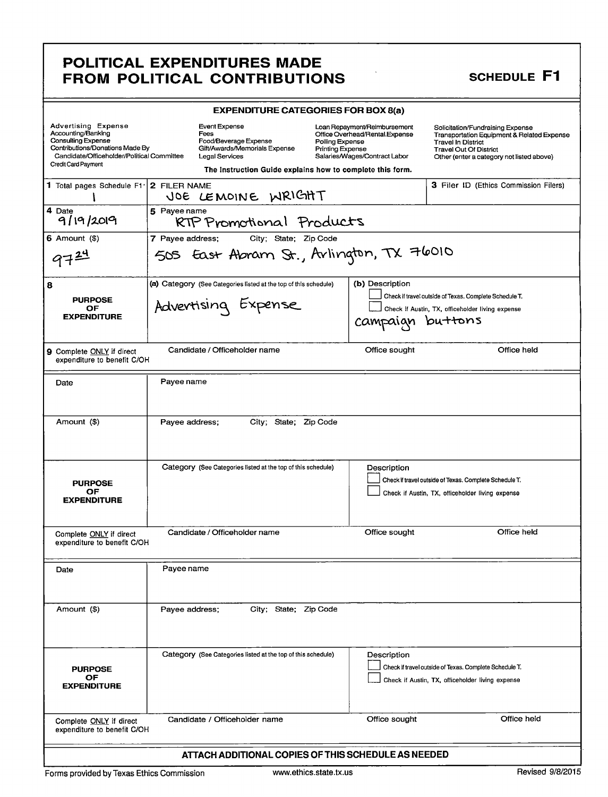### POLITICAL EXPENDITURES MADE FROM POLITICAL CONTRIBUTIONS

| <b>EXPENDITURE CATEGORIES FOR BOX 8(a)</b>                                                                                                                                            |                                                                                                                                                                |                                                                                                                                               |                                                                                                                                                                                                      |  |  |
|---------------------------------------------------------------------------------------------------------------------------------------------------------------------------------------|----------------------------------------------------------------------------------------------------------------------------------------------------------------|-----------------------------------------------------------------------------------------------------------------------------------------------|------------------------------------------------------------------------------------------------------------------------------------------------------------------------------------------------------|--|--|
| <b>Advertising Expense</b><br>Accounting/Banking<br><b>Consulting Expense</b><br>Contributions/Donations Made By<br>Candidate/Officeholder/Political Committee<br>Credit Card Payment | Event Expense<br>Fees<br>Food/Beverage Expense<br>Gift/Awards/Memorials Expense<br>Legal Services<br>The Instruction Guide explains how to complete this form. | Loan Repayment/Reimbursement<br>Office Overhead/Rental.Expense<br>Polling Expense<br><b>Printing Expense</b><br>Salaries/Wages/Contract Labor | Solicitation/Fundraising Expense<br><b>Transportation Equipment &amp; Related Expense</b><br><b>Travel In District</b><br><b>Travel Out Of District</b><br>Other (enter a category not listed above) |  |  |
| 1 Total pages Schedule F1'                                                                                                                                                            | 2 FILER NAME<br>JOE LEMOINE WRIGHT                                                                                                                             |                                                                                                                                               | <b>3</b> Filer ID (Ethics Commission Filers)                                                                                                                                                         |  |  |
| 4 Date<br>5 Payee name<br>9/19/2019<br>RTP Promotional Products                                                                                                                       |                                                                                                                                                                |                                                                                                                                               |                                                                                                                                                                                                      |  |  |
| $6$ Amount $($ \$)<br>972                                                                                                                                                             | 7 Payee address:<br>City; State; Zip Code<br>505 East Abram St., Arlington, TX 76010                                                                           |                                                                                                                                               |                                                                                                                                                                                                      |  |  |
| 8<br><b>PURPOSE</b><br>OF<br><b>EXPENDITURE</b>                                                                                                                                       | (a) Category (See Categories listed at the top of this schedule)<br>Advertising Expense                                                                        | (b) Description<br>campaign                                                                                                                   | Check if travel outside of Texas. Complete Schedule T.<br>Check if Austin, TX, officeholder living expense<br>buttons                                                                                |  |  |
| <b>9</b> Complete ONLY if direct<br>expenditure to benefit C/OH                                                                                                                       | Candidate / Officeholder name                                                                                                                                  | Office sought                                                                                                                                 | Office held                                                                                                                                                                                          |  |  |
| Date                                                                                                                                                                                  | Pavee name                                                                                                                                                     |                                                                                                                                               |                                                                                                                                                                                                      |  |  |
| Amount (\$)                                                                                                                                                                           | Payee address;<br>City; State; Zip Code                                                                                                                        |                                                                                                                                               |                                                                                                                                                                                                      |  |  |
| <b>PURPOSE</b><br>OF<br><b>EXPENDITURE</b>                                                                                                                                            | Category (See Categories listed at the top of this schedule)                                                                                                   | Description                                                                                                                                   | Check if travel outside of Texas. Complete Schedule T.<br>Check if Austin, TX, officeholder living expense                                                                                           |  |  |
| Complete ONLY if direct<br>expenditure to benefit C/OH                                                                                                                                | Candidate / Officeholder name                                                                                                                                  | Office sought                                                                                                                                 | Office held                                                                                                                                                                                          |  |  |
| Date                                                                                                                                                                                  | Payee name                                                                                                                                                     |                                                                                                                                               |                                                                                                                                                                                                      |  |  |
| Amount (\$)                                                                                                                                                                           | Payee address;<br>City; State; Zip Code                                                                                                                        |                                                                                                                                               |                                                                                                                                                                                                      |  |  |
| <b>PURPOSE</b><br>OF<br><b>EXPENDITURE</b>                                                                                                                                            | Category (See Categories listed at the top of this schedule)                                                                                                   | Description                                                                                                                                   | Check if travel outside of Texas. Complete Schedule T.<br>Check if Austin, TX, officeholder living expense                                                                                           |  |  |
| Complete ONLY if direct<br>expenditure to benefit C/OH                                                                                                                                | Candidate / Officeholder name                                                                                                                                  | Office sought                                                                                                                                 | Office held                                                                                                                                                                                          |  |  |
| ATTACH ADDITIONAL COPIES OF THIS SCHEDULE AS NEEDED                                                                                                                                   |                                                                                                                                                                |                                                                                                                                               |                                                                                                                                                                                                      |  |  |

### **SCHEDULE F1**